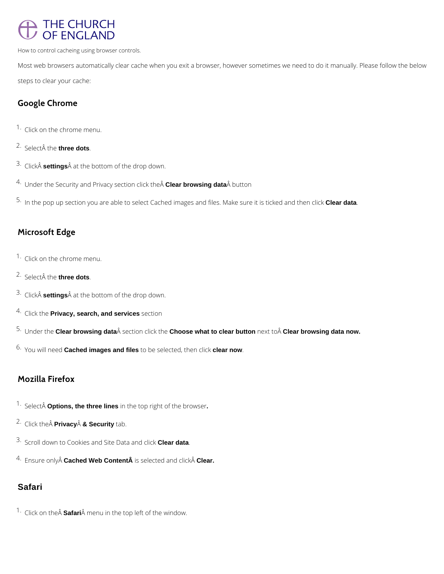# THE CHURCH OF ENGLAND

How to control cacheing using browser controls.

Most web browsers automatically clear cache when you exit a browser, however sometimes we need to do it manually. Please follow the below steps to clear your cache:

## **Google Chrome**

- 1. Click on the chrome menu.
- <sup>2.</sup> Select the **three dots**.
- 3. ClickA **settings**A at the bottom of the drop down.
- <sup>4.</sup> Under the Security and Privacy section click the **Clear browsing data** Â button
- 5. In the pop up section you are able to select Cached images and files. Make sure it is ticked and then click **Clear data**.

- 1. Click on the chrome menu.
- 2. Select the **three dots**.
- 3. ClickA **settings**A at the bottom of the drop down.
- 4. Click the **Privacy, search, and services** section
- 5. Under the **Clear browsing data** section click the **Choose what to clear button** next to **Clear browsing data now.**
- 6. You will need **Cached images and files** to be selected, then click **clear now**.

## **Microsoft Edge**

## **Mozilla Firefox**

- <sup>1.</sup> Select **Options, the three lines** in the top right of the browser.
- 2. Click the  $\hat{A}$  **Privacy** $\hat{A}$  & **Security** tab.

3. Scroll down to Cookies and Site Data and click **Clear data**.

4. Ensure only Cached Web Content is selected and click Clear.

### **Safari**

<sup>1.</sup> Click on the **Safari** Â menu in the top left of the window.